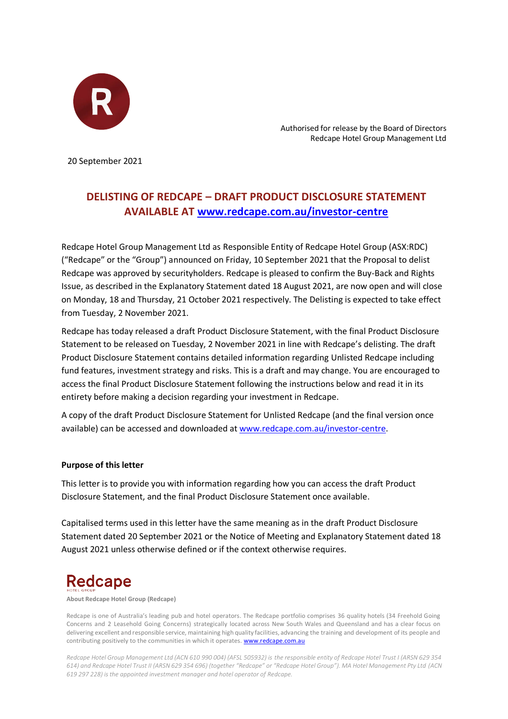

 Authorised for release by the Board of Directors Redcape Hotel Group Management Ltd

20 September 2021

## **DELISTING OF REDCAPE – DRAFT PRODUCT DISCLOSURE STATEMENT AVAILABLE AT www.redcape.com.au/investor-centre**

Redcape Hotel Group Management Ltd as Responsible Entity of Redcape Hotel Group (ASX:RDC) ("Redcape" or the "Group") announced on Friday, 10 September 2021 that the Proposal to delist Redcape was approved by securityholders. Redcape is pleased to confirm the Buy-Back and Rights Issue, as described in the Explanatory Statement dated 18 August 2021, are now open and will close on Monday, 18 and Thursday, 21 October 2021 respectively. The Delisting is expected to take effect from Tuesday, 2 November 2021.

Redcape has today released a draft Product Disclosure Statement, with the final Product Disclosure Statement to be released on Tuesday, 2 November 2021 in line with Redcape's delisting. The draft Product Disclosure Statement contains detailed information regarding Unlisted Redcape including fund features, investment strategy and risks. This is a draft and may change. You are encouraged to access the final Product Disclosure Statement following the instructions below and read it in its entirety before making a decision regarding your investment in Redcape.

A copy of the draft Product Disclosure Statement for Unlisted Redcape (and the final version once available) can be accessed and downloaded at www.redcape.com.au/investor-centre.

## **Purpose of this letter**

This letter is to provide you with information regarding how you can access the draft Product Disclosure Statement, and the final Product Disclosure Statement once available.

Capitalised terms used in this letter have the same meaning as in the draft Product Disclosure Statement dated 20 September 2021 or the Notice of Meeting and Explanatory Statement dated 18 August 2021 unless otherwise defined or if the context otherwise requires.

## **Redcape**

**About Redcape Hotel Group (Redcape)**

Redcape is one of Australia's leading pub and hotel operators. The Redcape portfolio comprises 36 quality hotels (34 Freehold Going Concerns and 2 Leasehold Going Concerns) strategically located across New South Wales and Queensland and has a clear focus on delivering excellent and responsible service, maintaining high quality facilities, advancing the training and development of its people and contributing positively to the communities in which it operates. [www.redcape.com.au](http://www.redcape.com.au/)

*Redcape Hotel Group Management Ltd (ACN 610 990 004) (AFSL 505932) is the responsible entity of Redcape Hotel Trust I (ARSN 629 354 614) and Redcape Hotel Trust II (ARSN 629 354 696) (together "Redcape" or "Redcape Hotel Group"). MA Hotel Management Pty Ltd (ACN 619 297 228) is the appointed investment manager and hotel operator of Redcape.*